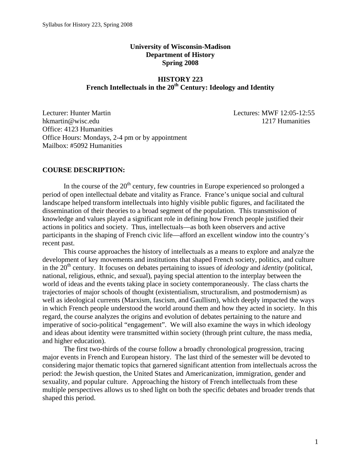# **University of Wisconsin-Madison Department of History Spring 2008**

# **HISTORY 223**  French Intellectuals in the 20<sup>th</sup> Century: Ideology and Identity

Lecturer: Hunter Martin Lectures: MWF 12:05-12:55 hkmartin@wisc.edu 1217 Humanities Office: 4123 Humanities Office Hours: Mondays, 2-4 pm or by appointment Mailbox: #5092 Humanities

## **COURSE DESCRIPTION:**

In the course of the  $20<sup>th</sup>$  century, few countries in Europe experienced so prolonged a period of open intellectual debate and vitality as France. France's unique social and cultural landscape helped transform intellectuals into highly visible public figures, and facilitated the dissemination of their theories to a broad segment of the population. This transmission of knowledge and values played a significant role in defining how French people justified their actions in politics and society. Thus, intellectuals—as both keen observers and active participants in the shaping of French civic life—afford an excellent window into the country's recent past.

This course approaches the history of intellectuals as a means to explore and analyze the development of key movements and institutions that shaped French society, politics, and culture in the  $20<sup>th</sup>$  century. It focuses on debates pertaining to issues of *ideology* and *identity* (political, national, religious, ethnic, and sexual), paying special attention to the interplay between the world of ideas and the events taking place in society contemporaneously. The class charts the trajectories of major schools of thought (existentialism, structuralism, and postmodernism) as well as ideological currents (Marxism, fascism, and Gaullism), which deeply impacted the ways in which French people understood the world around them and how they acted in society. In this regard, the course analyzes the origins and evolution of debates pertaining to the nature and imperative of socio-political "engagement". We will also examine the ways in which ideology and ideas about identity were transmitted within society (through print culture, the mass media, and higher education).

The first two-thirds of the course follow a broadly chronological progression, tracing major events in French and European history. The last third of the semester will be devoted to considering major thematic topics that garnered significant attention from intellectuals across the period: the Jewish question, the United States and Americanization, immigration, gender and sexuality, and popular culture. Approaching the history of French intellectuals from these multiple perspectives allows us to shed light on both the specific debates and broader trends that shaped this period.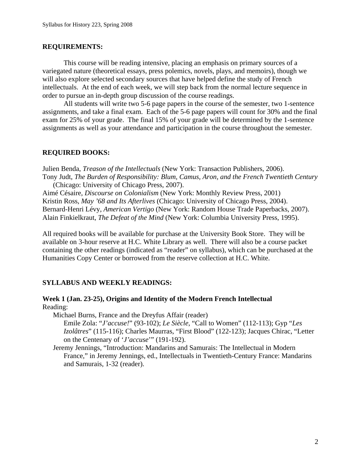## **REQUIREMENTS:**

This course will be reading intensive, placing an emphasis on primary sources of a variegated nature (theoretical essays, press polemics, novels, plays, and memoirs), though we will also explore selected secondary sources that have helped define the study of French intellectuals. At the end of each week, we will step back from the normal lecture sequence in order to pursue an in-depth group discussion of the course readings.

All students will write two 5-6 page papers in the course of the semester, two 1-sentence assignments, and take a final exam. Each of the 5-6 page papers will count for 30% and the final exam for 25% of your grade. The final 15% of your grade will be determined by the 1-sentence assignments as well as your attendance and participation in the course throughout the semester.

## **REQUIRED BOOKS:**

Julien Benda, *Treason of the Intellectuals* (New York: Transaction Publishers, 2006). Tony Judt, *The Burden of Responsibility: Blum, Camus, Aron, and the French Twentieth Century* (Chicago: University of Chicago Press, 2007).

Aimé Césaire, *Discourse on Colonialism* (New York: Monthly Review Press, 2001) Kristin Ross, *May '68 and Its Afterlives* (Chicago: University of Chicago Press, 2004). Bernard-Henri Lévy, *American Vertigo* (New York: Random House Trade Paperbacks, 2007). Alain Finkielkraut, *The Defeat of the Mind* (New York: Columbia University Press, 1995).

All required books will be available for purchase at the University Book Store. They will be available on 3-hour reserve at H.C. White Library as well. There will also be a course packet containing the other readings (indicated as "reader" on syllabus), which can be purchased at the Humanities Copy Center or borrowed from the reserve collection at H.C. White.

## **SYLLABUS AND WEEKLY READINGS:**

## **Week 1 (Jan. 23-25), Origins and Identity of the Modern French Intellectual**  Reading:

Michael Burns, France and the Dreyfus Affair (reader)

Emile Zola: "*J'accuse!*" (93-102); *Le Siècle*, "Call to Women" (112-113); Gyp "*Les Izolâtres*" (115-116); Charles Maurras, "First Blood" (122-123); Jacques Chirac, "Letter on the Centenary of '*J'accuse*'" (191-192).

Jeremy Jennings, "Introduction: Mandarins and Samurais: The Intellectual in Modern France," in Jeremy Jennings, ed., Intellectuals in Twentieth-Century France: Mandarins and Samurais, 1-32 (reader).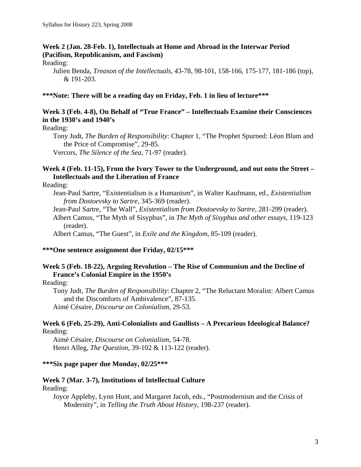# **Week 2 (Jan. 28-Feb. 1), Intellectuals at Home and Abroad in the Interwar Period (Pacifism, Republicanism, and Fascism)**

## Reading:

Julien Benda, *Treason of the Intellectuals*, 43-78, 98-101, 158-166, 175-177, 181-186 (top), & 191-203.

## **\*\*\*Note: There will be a reading day on Friday, Feb. 1 in lieu of lecture\*\*\***

# **Week 3 (Feb. 4-8), On Behalf of "True France" – Intellectuals Examine their Consciences in the 1930's and 1940's**

Reading:

Tony Judt, *The Burden of Responsibility*: Chapter 1, "The Prophet Spurned: Léon Blum and the Price of Compromise", 29-85.

Vercors, *The Silence of the Sea*, 71-97 (reader).

## **Week 4 (Feb. 11-15), From the Ivory Tower to the Underground, and out onto the Street – Intellectuals and the Liberation of France**

Reading:

- Jean-Paul Sartre, "Existentialism is a Humanism", in Walter Kaufmann, ed., *Existentialism from Dostoevsky to Sartre*, 345-369 (reader).
- Jean-Paul Sartre, "The Wall", *Existentialism from Dostoevsky to Sartre*, 281-299 (reader).
- Albert Camus, "The Myth of Sisyphus", in *The Myth of Sisyphus and other essays*, 119-123 (reader).

Albert Camus, "The Guest", in *Exile and the Kingdom*, 85-109 (reader).

## **\*\*\*One sentence assignment due Friday, 02/15\*\*\***

# **Week 5 (Feb. 18-22), Arguing Revolution – The Rise of Communism and the Decline of France's Colonial Empire in the 1950's**

Reading:

Tony Judt, *The Burden of Responsibility*: Chapter 2, "The Reluctant Moralist: Albert Camus and the Discomforts of Ambivalence", 87-135. Aimé Césaire, *Discourse on Colonialism*, 29-53.

## **Week 6 (Feb. 25-29), Anti-Colonialists and Gaullists – A Precarious Ideological Balance?**  Reading:

Aimé Césaire, *Discourse on Colonialism*, 54-78. Henri Alleg, *The Question*, 39-102 & 113-122 (reader).

## **\*\*\*Six page paper due Monday, 02/25\*\*\***

## **Week 7 (Mar. 3-7), Institutions of Intellectual Culture**

Reading:

Joyce Appleby, Lynn Hunt, and Margaret Jacob, eds., "Postmodernism and the Crisis of Modernity", in *Telling the Truth About History*, 198-237 (reader).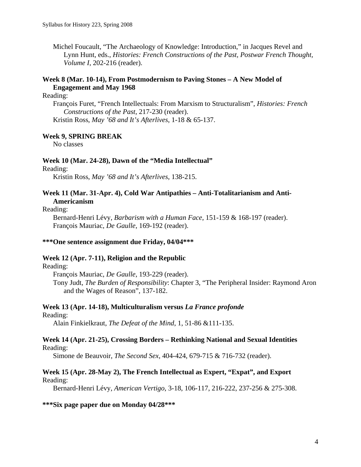Michel Foucault, "The Archaeology of Knowledge: Introduction," in Jacques Revel and Lynn Hunt, eds., *Histories: French Constructions of the Past, Postwar French Thought, Volume I*, 202-216 (reader).

# **Week 8 (Mar. 10-14), From Postmodernism to Paving Stones – A New Model of Engagement and May 1968**

## Reading:

François Furet, "French Intellectuals: From Marxism to Structuralism", *Histories: French Constructions of the Past*, 217-230 (reader). Kristin Ross, *May '68 and It's Afterlives*, 1-18 & 65-137.

# **Week 9, SPRING BREAK**

No classes

#### **Week 10 (Mar. 24-28), Dawn of the "Media Intellectual"**

#### Reading:

Kristin Ross, *May '68 and It's Afterlives*, 138-215.

## **Week 11 (Mar. 31-Apr. 4), Cold War Antipathies – Anti-Totalitarianism and Anti-Americanism**

#### Reading:

Bernard-Henri Lévy, *Barbarism with a Human Face*, 151-159 & 168-197 (reader). François Mauriac, *De Gaulle*, 169-192 (reader).

#### **\*\*\*One sentence assignment due Friday, 04/04\*\*\***

### **Week 12 (Apr. 7-11), Religion and the Republic**

## Reading:

François Mauriac, *De Gaulle*, 193-229 (reader).

Tony Judt, *The Burden of Responsibility*: Chapter 3, "The Peripheral Insider: Raymond Aron and the Wages of Reason", 137-182.

#### **Week 13 (Apr. 14-18), Multiculturalism versus** *La France profonde*

#### Reading:

Alain Finkielkraut, *The Defeat of the Mind*, 1, 51-86 &111-135.

#### **Week 14 (Apr. 21-25), Crossing Borders – Rethinking National and Sexual Identities**  Reading:

Simone de Beauvoir, *The Second Sex*, 404-424, 679-715 & 716-732 (reader).

# **Week 15 (Apr. 28-May 2), The French Intellectual as Expert, "Expat", and Export**

#### Reading:

Bernard-Henri Lévy, *American Vertigo*, 3-18, 106-117, 216-222, 237-256 & 275-308.

### **\*\*\*Six page paper due on Monday 04/28\*\*\***